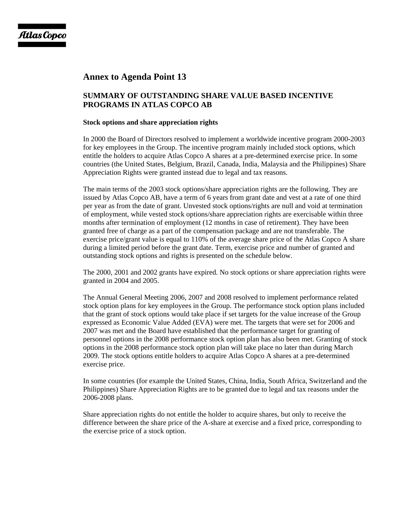## **Annex to Agenda Point 13**

## **SUMMARY OF OUTSTANDING SHARE VALUE BASED INCENTIVE PROGRAMS IN ATLAS COPCO AB**

## **Stock options and share appreciation rights**

In 2000 the Board of Directors resolved to implement a worldwide incentive program 2000-2003 for key employees in the Group. The incentive program mainly included stock options, which entitle the holders to acquire Atlas Copco A shares at a pre-determined exercise price. In some countries (the United States, Belgium, Brazil, Canada, India, Malaysia and the Philippines) Share Appreciation Rights were granted instead due to legal and tax reasons.

The main terms of the 2003 stock options/share appreciation rights are the following. They are issued by Atlas Copco AB, have a term of 6 years from grant date and vest at a rate of one third per year as from the date of grant. Unvested stock options/rights are null and void at termination of employment, while vested stock options/share appreciation rights are exercisable within three months after termination of employment (12 months in case of retirement). They have been granted free of charge as a part of the compensation package and are not transferable. The exercise price/grant value is equal to 110% of the average share price of the Atlas Copco A share during a limited period before the grant date. Term, exercise price and number of granted and outstanding stock options and rights is presented on the schedule below.

The 2000, 2001 and 2002 grants have expired. No stock options or share appreciation rights were granted in 2004 and 2005.

The Annual General Meeting 2006, 2007 and 2008 resolved to implement performance related stock option plans for key employees in the Group. The performance stock option plans included that the grant of stock options would take place if set targets for the value increase of the Group expressed as Economic Value Added (EVA) were met. The targets that were set for 2006 and 2007 was met and the Board have established that the performance target for granting of personnel options in the 2008 performance stock option plan has also been met. Granting of stock options in the 2008 performance stock option plan will take place no later than during March 2009. The stock options entitle holders to acquire Atlas Copco A shares at a pre-determined exercise price.

In some countries (for example the United States, China, India, South Africa, Switzerland and the Philippines) Share Appreciation Rights are to be granted due to legal and tax reasons under the 2006-2008 plans.

Share appreciation rights do not entitle the holder to acquire shares, but only to receive the difference between the share price of the A-share at exercise and a fixed price, corresponding to the exercise price of a stock option.